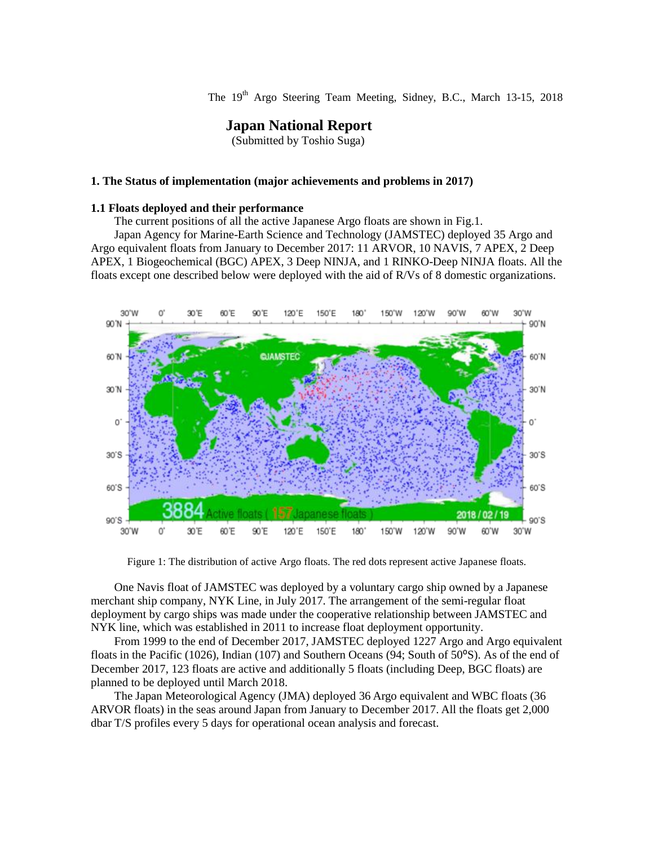The 19<sup>th</sup> Argo Steering Team Meeting, Sidney, B.C., March 13-15, 2018

# **Japan National Report**

(Submitted by Toshio Suga)

### **1. The Status of implementation (major achievements and problems in 2017)**

### **1.1 Floats deployed and their performance**

The current positions of all the active Japanese Argo floats are shown in Fig.1.

Japan Agency for Marine-Earth Science and Technology (JAMSTEC) deployed 35 Argo and Argo equivalent floats from January to December 2017: 11 ARVOR, 10 NAVIS, 7 APEX, 2 Deep APEX, 1 Biogeochemical (BGC) APEX, 3 Deep NINJA, and 1 RINKO-Deep NINJA floats. All the floats except one described below were deployed with the aid of R/Vs of 8 domestic organizations.



Figure 1: The distribution of active Argo floats. The red dots represent active Japanese floats.

One Navis float of JAMSTEC was deployed by a voluntary cargo ship owned by a Japanese merchant ship company, NYK Line, in July 2017. The arrangement of the semi-regular float deployment by cargo ships was made under the cooperative relationship between JAMSTEC and NYK line, which was established in 2011 to increase float deployment opportunity.

From 1999 to the end of December 2017, JAMSTEC deployed 1227 Argo and Argo equivalent floats in the Pacific (1026), Indian (107) and Southern Oceans (94; South of 50°S). As of the end of December 2017, 123 floats are active and additionally 5 floats (including Deep, BGC floats) are planned to be deployed until March 2018.

The Japan Meteorological Agency (JMA) deployed 36 Argo equivalent and WBC floats (36 ARVOR floats) in the seas around Japan from January to December 2017. All the floats get 2,000 dbar T/S profiles every 5 days for operational ocean analysis and forecast.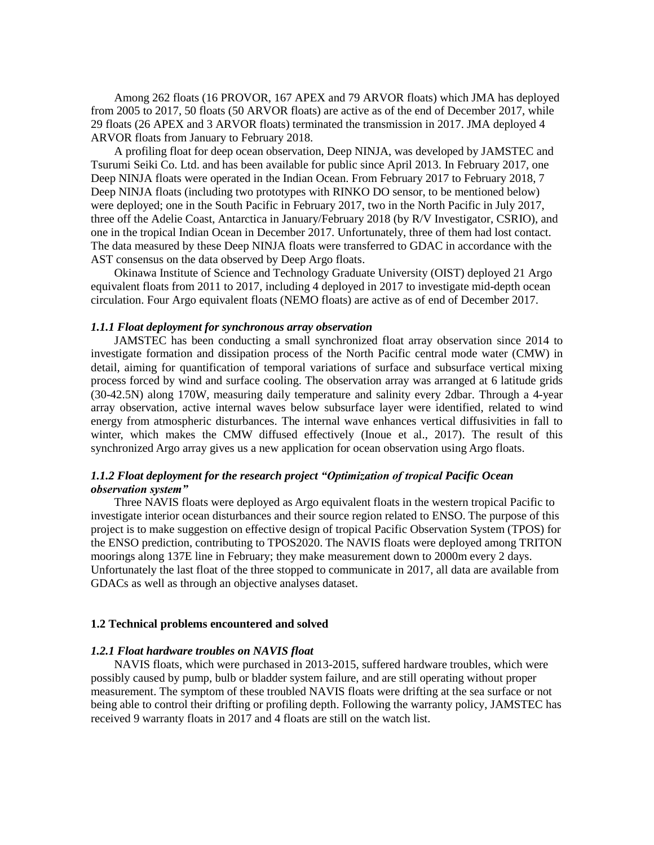Among 262 floats (16 PROVOR, 167 APEX and 79 ARVOR floats) which JMA has deployed from 2005 to 2017, 50 floats (50 ARVOR floats) are active as of the end of December 2017, while 29 floats (26 APEX and 3 ARVOR floats) terminated the transmission in 2017. JMA deployed 4 ARVOR floats from January to February 2018.

A profiling float for deep ocean observation, Deep NINJA, was developed by JAMSTEC and Tsurumi Seiki Co. Ltd. and has been available for public since April 2013. In February 2017, one Deep NINJA floats were operated in the Indian Ocean. From February 2017 to February 2018, 7 Deep NINJA floats (including two prototypes with RINKO DO sensor, to be mentioned below) were deployed; one in the South Pacific in February 2017, two in the North Pacific in July 2017, three off the Adelie Coast, Antarctica in January/February 2018 (by R/V Investigator, CSRIO), and one in the tropical Indian Ocean in December 2017. Unfortunately, three of them had lost contact. The data measured by these Deep NINJA floats were transferred to GDAC in accordance with the AST consensus on the data observed by Deep Argo floats.

Okinawa Institute of Science and Technology Graduate University (OIST) deployed 21 Argo equivalent floats from 2011 to 2017, including 4 deployed in 2017 to investigate mid-depth ocean circulation. Four Argo equivalent floats (NEMO floats) are active as of end of December 2017.

### *1.1.1 Float deployment for synchronous array observation*

JAMSTEC has been conducting a small synchronized float array observation since 2014 to investigate formation and dissipation process of the North Pacific central mode water (CMW) in detail, aiming for quantification of temporal variations of surface and subsurface vertical mixing process forced by wind and surface cooling. The observation array was arranged at 6 latitude grids (30-42.5N) along 170W, measuring daily temperature and salinity every 2dbar. Through a 4-year array observation, active internal waves below subsurface layer were identified, related to wind energy from atmospheric disturbances. The internal wave enhances vertical diffusivities in fall to winter, which makes the CMW diffused effectively (Inoue et al., 2017). The result of this synchronized Argo array gives us a new application for ocean observation using Argo floats.

# *1.1.2 Float deployment for the research project "Optimization of tropical Pacific Ocean observation system"*

Three NAVIS floats were deployed as Argo equivalent floats in the western tropical Pacific to investigate interior ocean disturbances and their source region related to ENSO. The purpose of this project is to make suggestion on effective design of tropical Pacific Observation System (TPOS) for the ENSO prediction, contributing to TPOS2020. The NAVIS floats were deployed among TRITON moorings along 137E line in February; they make measurement down to 2000m every 2 days. Unfortunately the last float of the three stopped to communicate in 2017, all data are available from GDACs as well as through an objective analyses dataset.

#### **1.2 Technical problems encountered and solved**

### *1.2.1 Float hardware troubles on NAVIS float*

NAVIS floats, which were purchased in 2013-2015, suffered hardware troubles, which were possibly caused by pump, bulb or bladder system failure, and are still operating without proper measurement. The symptom of these troubled NAVIS floats were drifting at the sea surface or not being able to control their drifting or profiling depth. Following the warranty policy, JAMSTEC has received 9 warranty floats in 2017 and 4 floats are still on the watch list.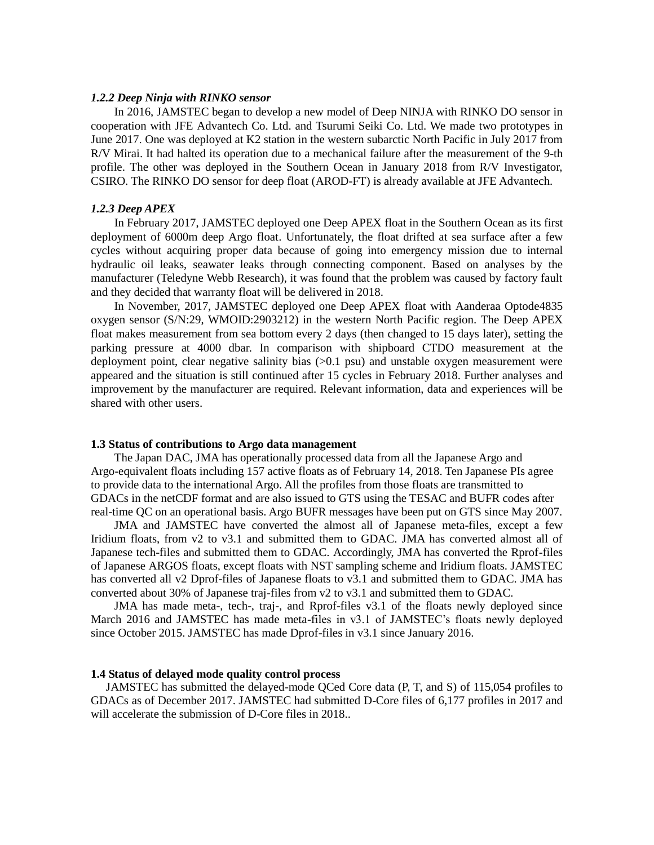#### *1.2.2 Deep Ninja with RINKO sensor*

In 2016, JAMSTEC began to develop a new model of Deep NINJA with RINKO DO sensor in cooperation with JFE Advantech Co. Ltd. and Tsurumi Seiki Co. Ltd. We made two prototypes in June 2017. One was deployed at K2 station in the western subarctic North Pacific in July 2017 from R/V Mirai. It had halted its operation due to a mechanical failure after the measurement of the 9-th profile. The other was deployed in the Southern Ocean in January 2018 from R/V Investigator, CSIRO. The RINKO DO sensor for deep float (AROD-FT) is already available at JFE Advantech.

#### *1.2.3 Deep APEX*

 In February 2017, JAMSTEC deployed one Deep APEX float in the Southern Ocean as its first deployment of 6000m deep Argo float. Unfortunately, the float drifted at sea surface after a few cycles without acquiring proper data because of going into emergency mission due to internal hydraulic oil leaks, seawater leaks through connecting component. Based on analyses by the manufacturer (Teledyne Webb Research), it was found that the problem was caused by factory fault and they decided that warranty float will be delivered in 2018.

In November, 2017, JAMSTEC deployed one Deep APEX float with Aanderaa Optode4835 oxygen sensor (S/N:29, WMOID:2903212) in the western North Pacific region. The Deep APEX float makes measurement from sea bottom every 2 days (then changed to 15 days later), setting the parking pressure at 4000 dbar. In comparison with shipboard CTDO measurement at the deployment point, clear negative salinity bias  $(>0.1$  psu) and unstable oxygen measurement were appeared and the situation is still continued after 15 cycles in February 2018. Further analyses and improvement by the manufacturer are required. Relevant information, data and experiences will be shared with other users.

#### **1.3 Status of contributions to Argo data management**

The Japan DAC, JMA has operationally processed data from all the Japanese Argo and Argo-equivalent floats including 157 active floats as of February 14, 2018. Ten Japanese PIs agree to provide data to the international Argo. All the profiles from those floats are transmitted to GDACs in the netCDF format and are also issued to GTS using the TESAC and BUFR codes after real-time QC on an operational basis. Argo BUFR messages have been put on GTS since May 2007.

JMA and JAMSTEC have converted the almost all of Japanese meta-files, except a few Iridium floats, from v2 to v3.1 and submitted them to GDAC. JMA has converted almost all of Japanese tech-files and submitted them to GDAC. Accordingly, JMA has converted the Rprof-files of Japanese ARGOS floats, except floats with NST sampling scheme and Iridium floats. JAMSTEC has converted all v2 Dprof-files of Japanese floats to v3.1 and submitted them to GDAC. JMA has converted about 30% of Japanese traj-files from v2 to v3.1 and submitted them to GDAC.

JMA has made meta-, tech-, traj-, and Rprof-files v3.1 of the floats newly deployed since March 2016 and JAMSTEC has made meta-files in v3.1 of JAMSTEC's floats newly deployed since October 2015. JAMSTEC has made Dprof-files in v3.1 since January 2016.

### **1.4 Status of delayed mode quality control process**

JAMSTEC has submitted the delayed-mode QCed Core data (P, T, and S) of 115,054 profiles to GDACs as of December 2017. JAMSTEC had submitted D-Core files of 6,177 profiles in 2017 and will accelerate the submission of D-Core files in 2018..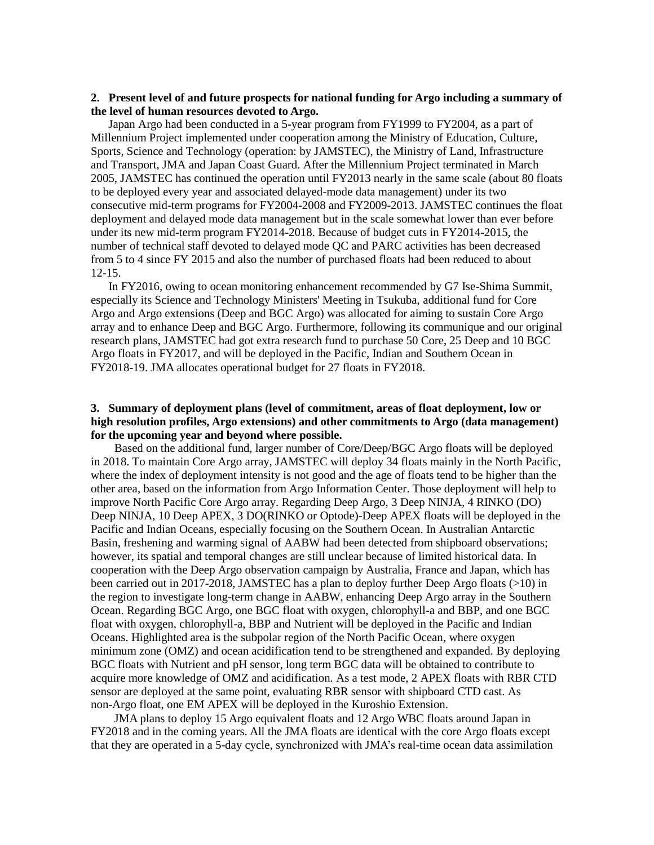# **2. Present level of and future prospects for national funding for Argo including a summary of the level of human resources devoted to Argo.**

 Japan Argo had been conducted in a 5-year program from FY1999 to FY2004, as a part of Millennium Project implemented under cooperation among the Ministry of Education, Culture, Sports, Science and Technology (operation: by JAMSTEC), the Ministry of Land, Infrastructure and Transport, JMA and Japan Coast Guard. After the Millennium Project terminated in March 2005, JAMSTEC has continued the operation until FY2013 nearly in the same scale (about 80 floats to be deployed every year and associated delayed-mode data management) under its two consecutive mid-term programs for FY2004-2008 and FY2009-2013. JAMSTEC continues the float deployment and delayed mode data management but in the scale somewhat lower than ever before under its new mid-term program FY2014-2018. Because of budget cuts in FY2014-2015, the number of technical staff devoted to delayed mode QC and PARC activities has been decreased from 5 to 4 since FY 2015 and also the number of purchased floats had been reduced to about 12-15.

In FY2016, owing to ocean monitoring enhancement recommended by G7 Ise-Shima Summit, especially its Science and Technology Ministers' Meeting in Tsukuba, additional fund for Core Argo and Argo extensions (Deep and BGC Argo) was allocated for aiming to sustain Core Argo array and to enhance Deep and BGC Argo. Furthermore, following its communique and our original research plans, JAMSTEC had got extra research fund to purchase 50 Core, 25 Deep and 10 BGC Argo floats in FY2017, and will be deployed in the Pacific, Indian and Southern Ocean in FY2018-19. JMA allocates operational budget for 27 floats in FY2018.

# **3. Summary of deployment plans (level of commitment, areas of float deployment, low or high resolution profiles, Argo extensions) and other commitments to Argo (data management) for the upcoming year and beyond where possible.**

 Based on the additional fund, larger number of Core/Deep/BGC Argo floats will be deployed in 2018. To maintain Core Argo array, JAMSTEC will deploy 34 floats mainly in the North Pacific, where the index of deployment intensity is not good and the age of floats tend to be higher than the other area, based on the information from Argo Information Center. Those deployment will help to improve North Pacific Core Argo array. Regarding Deep Argo, 3 Deep NINJA, 4 RINKO (DO) Deep NINJA, 10 Deep APEX, 3 DO(RINKO or Optode)-Deep APEX floats will be deployed in the Pacific and Indian Oceans, especially focusing on the Southern Ocean. In Australian Antarctic Basin, freshening and warming signal of AABW had been detected from shipboard observations; however, its spatial and temporal changes are still unclear because of limited historical data. In cooperation with the Deep Argo observation campaign by Australia, France and Japan, which has been carried out in 2017-2018, JAMSTEC has a plan to deploy further Deep Argo floats (>10) in the region to investigate long-term change in AABW, enhancing Deep Argo array in the Southern Ocean. Regarding BGC Argo, one BGC float with oxygen, chlorophyll-a and BBP, and one BGC float with oxygen, chlorophyll-a, BBP and Nutrient will be deployed in the Pacific and Indian Oceans. Highlighted area is the subpolar region of the North Pacific Ocean, where oxygen minimum zone (OMZ) and ocean acidification tend to be strengthened and expanded. By deploying BGC floats with Nutrient and pH sensor, long term BGC data will be obtained to contribute to acquire more knowledge of OMZ and acidification. As a test mode, 2 APEX floats with RBR CTD sensor are deployed at the same point, evaluating RBR sensor with shipboard CTD cast. As non-Argo float, one EM APEX will be deployed in the Kuroshio Extension.

JMA plans to deploy 15 Argo equivalent floats and 12 Argo WBC floats around Japan in FY2018 and in the coming years. All the JMA floats are identical with the core Argo floats except that they are operated in a 5-day cycle, synchronized with JMA's real-time ocean data assimilation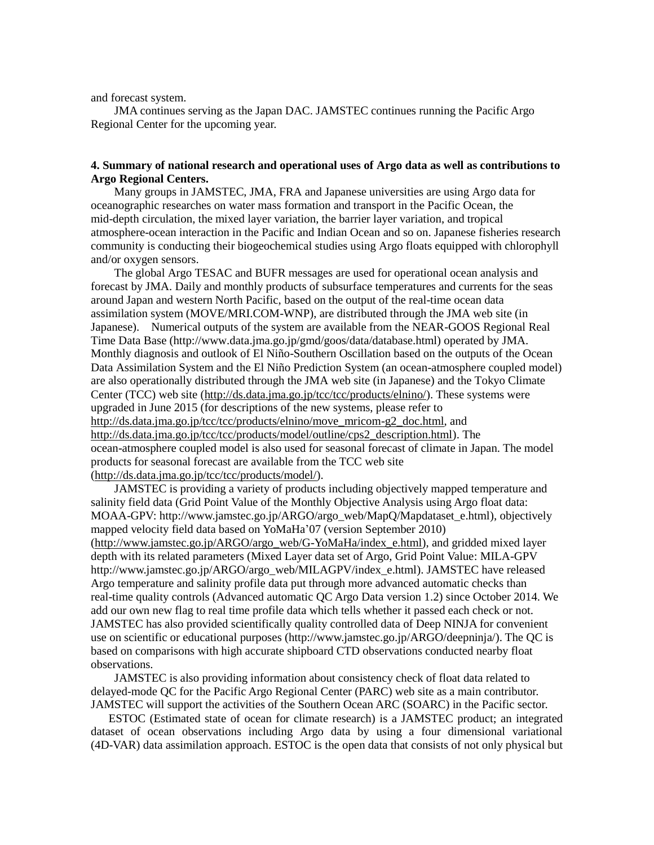and forecast system.

JMA continues serving as the Japan DAC. JAMSTEC continues running the Pacific Argo Regional Center for the upcoming year.

# **4. Summary of national research and operational uses of Argo data as well as contributions to Argo Regional Centers.**

Many groups in JAMSTEC, JMA, FRA and Japanese universities are using Argo data for oceanographic researches on water mass formation and transport in the Pacific Ocean, the mid-depth circulation, the mixed layer variation, the barrier layer variation, and tropical atmosphere-ocean interaction in the Pacific and Indian Ocean and so on. Japanese fisheries research community is conducting their biogeochemical studies using Argo floats equipped with chlorophyll and/or oxygen sensors.

The global Argo TESAC and BUFR messages are used for operational ocean analysis and forecast by JMA. Daily and monthly products of subsurface temperatures and currents for the seas around Japan and western North Pacific, based on the output of the real-time ocean data assimilation system (MOVE/MRI.COM-WNP), are distributed through the JMA web site (in Japanese). Numerical outputs of the system are available from the NEAR-GOOS Regional Real Time Data Base (http://www.data.jma.go.jp/gmd/goos/data/database.html) operated by JMA. Monthly diagnosis and outlook of El Niño-Southern Oscillation based on the outputs of the Ocean Data Assimilation System and the El Niño Prediction System (an ocean-atmosphere coupled model) are also operationally distributed through the JMA web site (in Japanese) and the Tokyo Climate Center (TCC) web site [\(http://ds.data.jma.go.jp/tcc/tcc/products/elnino/\)](http://ds.data.jma.go.jp/tcc/tcc/products/elnino/). These systems were upgraded in June 2015 (for descriptions of the new systems, please refer to [http://ds.data.jma.go.jp/tcc/tcc/products/elnino/move\\_mricom-g2\\_doc.html,](http://ds.data.jma.go.jp/tcc/tcc/products/elnino/move_mricom-g2_doc.html) and [http://ds.data.jma.go.jp/tcc/tcc/products/model/outline/cps2\\_description.html\)](http://ds.data.jma.go.jp/tcc/tcc/products/model/outline/cps2_description.html). The ocean-atmosphere coupled model is also used for seasonal forecast of climate in Japan. The model products for seasonal forecast are available from the TCC web site [\(http://ds.data.jma.go.jp/tcc/tcc/products/model/\)](http://ds.data.jma.go.jp/tcc/tcc/products/model/).

JAMSTEC is providing a variety of products including objectively mapped temperature and salinity field data (Grid Point Value of the Monthly Objective Analysis using Argo float data: MOAA-GPV: http://www.jamstec.go.jp/ARGO/argo\_web/MapQ/Mapdataset\_e.html), objectively mapped velocity field data based on YoMaHa'07 (version September 2010) [\(http://www.jamstec.go.jp/ARGO/argo\\_web/G-YoMaHa/index\\_e.html\)](http://www.jamstec.go.jp/ARGO/argo_web/G-YoMaHa/index_e.html), and gridded mixed layer depth with its related parameters (Mixed Layer data set of Argo, Grid Point Value: MILA-GPV http://www.jamstec.go.jp/ARGO/argo\_web/MILAGPV/index\_e.html). JAMSTEC have released Argo temperature and salinity profile data put through more advanced automatic checks than real-time quality controls (Advanced automatic QC Argo Data version 1.2) since October 2014. We add our own new flag to real time profile data which tells whether it passed each check or not. JAMSTEC has also provided scientifically quality controlled data of Deep NINJA for convenient use on scientific or educational purposes (http://www.jamstec.go.jp/ARGO/deepninja/). The QC is based on comparisons with high accurate shipboard CTD observations conducted nearby float observations.

JAMSTEC is also providing information about consistency check of float data related to delayed-mode QC for the Pacific Argo Regional Center (PARC) web site as a main contributor. JAMSTEC will support the activities of the Southern Ocean ARC (SOARC) in the Pacific sector.

ESTOC (Estimated state of ocean for climate research) is a JAMSTEC product; an integrated dataset of ocean observations including Argo data by using a four dimensional variational (4D-VAR) data assimilation approach. ESTOC is the open data that consists of not only physical but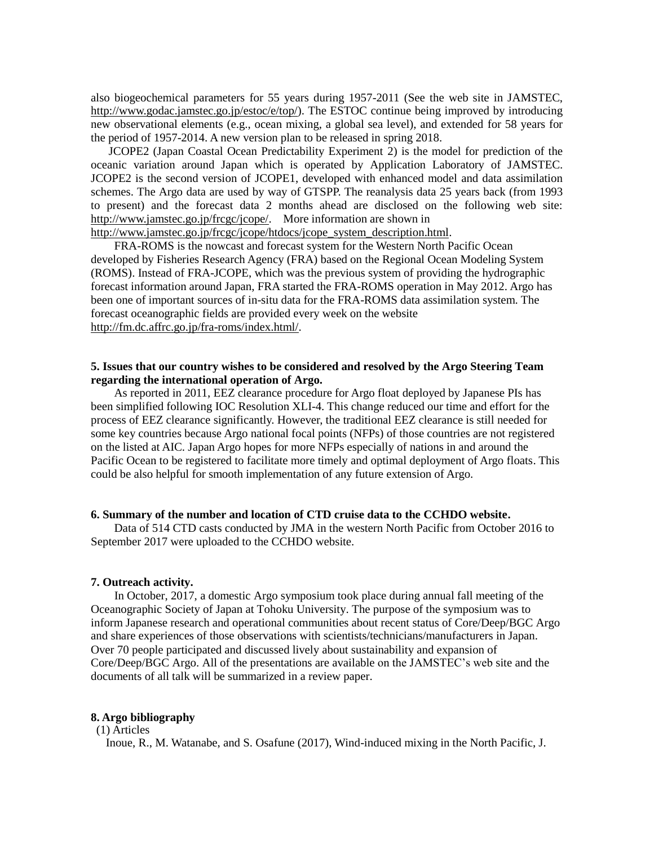also biogeochemical parameters for 55 years during 1957-2011 (See the web site in JAMSTEC, http://www.godac.jamstec.go.jp/estoc/e/top/). The ESTOC continue being improved by introducing new observational elements (e.g., ocean mixing, a global sea level), and extended for 58 years for the period of 1957-2014. A new version plan to be released in spring 2018.

JCOPE2 (Japan Coastal Ocean Predictability Experiment 2) is the model for prediction of the oceanic variation around Japan which is operated by Application Laboratory of JAMSTEC. JCOPE2 is the second version of JCOPE1, developed with enhanced model and data assimilation schemes. The Argo data are used by way of GTSPP. The reanalysis data 25 years back (from 1993 to present) and the forecast data 2 months ahead are disclosed on the following web site: http://www.jamstec.go.jp/frcgc/jcope/. More information are shown in

http://www.jamstec.go.jp/frcgc/jcope/htdocs/jcope\_system\_description.html.

FRA-ROMS is the nowcast and forecast system for the Western North Pacific Ocean developed by Fisheries Research Agency (FRA) based on the Regional Ocean Modeling System (ROMS). Instead of FRA-JCOPE, which was the previous system of providing the hydrographic forecast information around Japan, FRA started the FRA-ROMS operation in May 2012. Argo has been one of important sources of in-situ data for the FRA-ROMS data assimilation system. The forecast oceanographic fields are provided every week on the website [http://fm.dc.affrc.go.jp/fra-roms/index.html/.](http://fm.dc.affrc.go.jp/fra-roms/index.html/)

# **5. Issues that our country wishes to be considered and resolved by the Argo Steering Team regarding the international operation of Argo.**

As reported in 2011, EEZ clearance procedure for Argo float deployed by Japanese PIs has been simplified following IOC Resolution XLI-4. This change reduced our time and effort for the process of EEZ clearance significantly. However, the traditional EEZ clearance is still needed for some key countries because Argo national focal points (NFPs) of those countries are not registered on the listed at AIC. Japan Argo hopes for more NFPs especially of nations in and around the Pacific Ocean to be registered to facilitate more timely and optimal deployment of Argo floats. This could be also helpful for smooth implementation of any future extension of Argo.

### **6. Summary of the number and location of CTD cruise data to the CCHDO website.**

Data of 514 CTD casts conducted by JMA in the western North Pacific from October 2016 to September 2017 were uploaded to the CCHDO website.

## **7. Outreach activity.**

 In October, 2017, a domestic Argo symposium took place during annual fall meeting of the Oceanographic Society of Japan at Tohoku University. The purpose of the symposium was to inform Japanese research and operational communities about recent status of Core/Deep/BGC Argo and share experiences of those observations with scientists/technicians/manufacturers in Japan. Over 70 people participated and discussed lively about sustainability and expansion of Core/Deep/BGC Argo. All of the presentations are available on the JAMSTEC's web site and the documents of all talk will be summarized in a review paper.

# **8. Argo bibliography**

(1) Articles

Inoue, R., M. Watanabe, and S. Osafune (2017), Wind-induced mixing in the North Pacific, J.